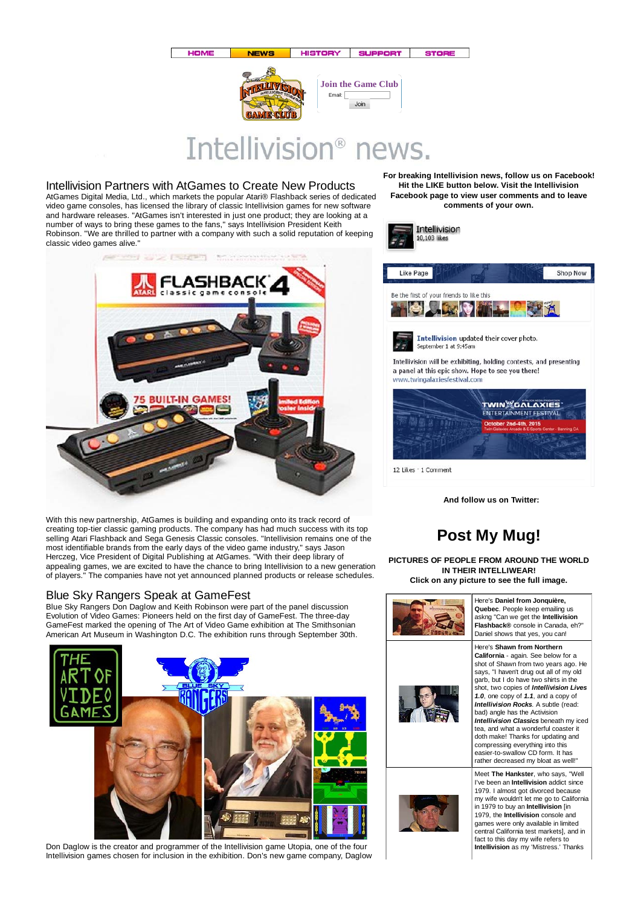

# Intellivision<sup>®</sup> news.

#### Intellivision Partners with AtGames to Create New Products

AtGames Digital Media, Ltd., which markets the popular Atari® Flashback series of dedicated video game consoles, has licensed the library of classic Intellivision games for new software and hardware releases. "AtGames isn't interested in just one product; they are looking at a number of ways to bring these games to the fans," says Intellivision President Keith Robinson. "We are thrilled to partner with a company with such a solid reputation of keeping classic video games alive."



With this new partnership, AtGames is building and expanding onto its track record of creating top-tier classic gaming products. The company has had much success with its top selling Atari Flashback and Sega Genesis Classic consoles. "Intellivision remains one of the most identifiable brands from the early days of the video game industry," says Jason Herczeg, Vice President of Digital Publishing at AtGames. "With their deep library of appealing games, we are excited to have the chance to bring Intellivision to a new generation of players." The companies have not yet announced planned products or release schedules.

### Blue Sky Rangers Speak at GameFest

Blue Sky Rangers Don Daglow and Keith Robinson were part of the panel discussion Evolution of Video Games: Pioneers held on the first day of GameFest. The three-day GameFest marked the opening of The Art of Video Game exhibition at The Smithsonian American Art Museum in Washington D.C. The exhibition runs through September 30th.



Don Daglow is the creator and programmer of the Intellivision game Utopia, one of the four Intellivision games chosen for inclusion in the exhibition. Don's new game company, Daglow

**For breaking Intellivision news, follow us on Facebook! Hit the LIKE button below. Visit the Intellivision Facebook page to view user comments and to leave comments of your own.**



**And follow us on Twitter:**

## **Post My Mug!**

**PICTURES OF PEOPLE FROM AROUND THE WORLD IN THEIR INTELLIWEAR! Click on any picture to see the full image.**



12 Likes · 1 Comment



Here's **Daniel from Jonquière, Quebec**. People keep emailing us askng "Can we get the **Intellivision Flashback®** console in Canada, eh?" Daniel shows that yes, you can!

Here's **Shawn from Northern California** - again. See below for a shot of Shawn from two years ago. He says, "I haven't drug out all of my old garb, but I do have two shirts in the shot, two copies of *Intellivision Lives 1.0*, one copy of *1.1*, and a copy of *Intellivision Rocks*. A subtle (read: bad) angle has the Activision *Intellivision Classics* beneath my iced tea, and what a wonderful coaster it doth make! Thanks for updating and compressing everything into this easier-to-swallow CD form. It has rather decreased my bloat as well!



Meet **The Hankster**, who says, "Well I've been an **Intellivision** addict since 1979. I almost got divorced because my wife wouldn't let me go to California in 1979 to buy an **Intellivision** [in 1979, the **Intellivision** console and games were only available in limited central California test markets], and in fact to this day my wife refers to **Intellivision** as my 'Mistress.' Thanks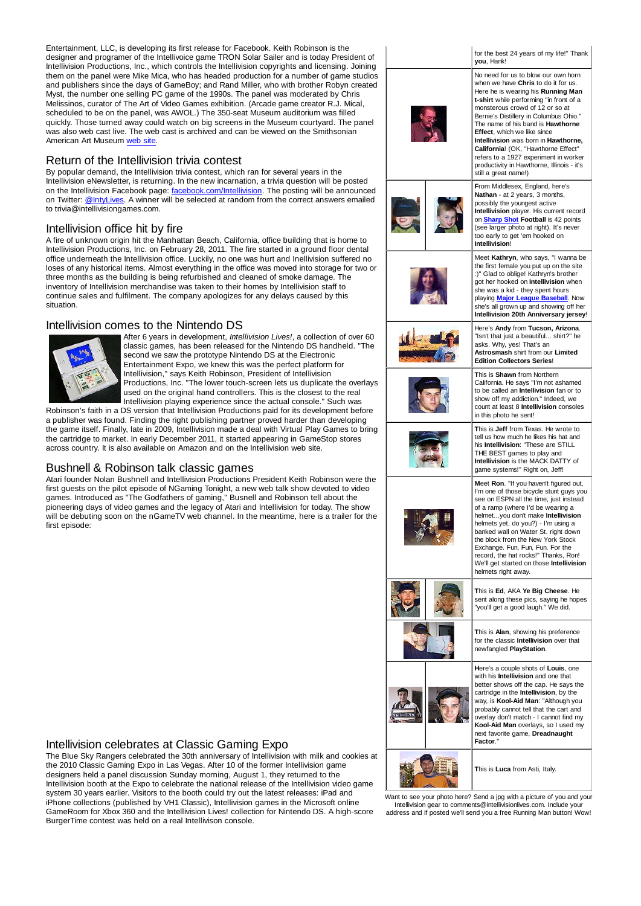Entertainment, LLC, is developing its first release for Facebook. Keith Robinson is the designer and programer of the Intellivoice game TRON Solar Sailer and is today President of Intellivision Productions, Inc., which controls the Intellivision copyrights and licensing. Joining them on the panel were Mike Mica, who has headed production for a number of game studios and publishers since the days of GameBoy; and Rand Miller, who with brother Robyn created Myst, the number one selling PC game of the 1990s. The panel was moderated by Chris Melissinos, curator of The Art of Video Games exhibition. (Arcade game creator R.J. Mical, scheduled to be on the panel, was AWOL.) The 350-seat Museum auditorium was filled quickly. Those turned away could watch on big screens in the Museum courtyard. The panel was also web cast live. The web cast is archived and can be viewed on the Smithsonian American Art Museum web site.

#### Return of the Intellivision trivia contest

By popular demand, the Intellivision trivia contest, which ran for several years in the Intellivision eNewsletter, is returning. In the new incarnation, a trivia question will be posted on the Intellivision Facebook page: facebook.com/Intellivision. The posting will be announced on Twitter: @IntyLives. A winner will be selected at random from the correct answers emailed to trivia@intellivisiongames.com.

#### Intellivision office hit by fire

A fire of unknown origin hit the Manhattan Beach, California, office building that is home to Intellivision Productions, Inc. on February 28, 2011. The fire started in a ground floor dental office underneath the Intellivision office. Luckily, no one was hurt and Inellivision suffered no loses of any historical items. Almost everything in the office was moved into storage for two or three months as the building is being refurbished and cleaned of smoke damage. The inventory of Intellivision merchandise was taken to their homes by Intellivision staff to continue sales and fulfilment. The company apologizes for any delays caused by this situation.

### Intellivision comes to the Nintendo DS



After 6 years in development, *Intellivision Lives!*, a collection of over 60 classic games, has been released for the Nintendo DS handheld. "The second we saw the prototype Nintendo DS at the Electronic Entertainment Expo, we knew this was the perfect platform for Intellivision," says Keith Robinson, President of Intellivision Productions, Inc. "The lower touch-screen lets us duplicate the overlays used on the original hand controllers. This is the closest to the real Intellivision playing experience since the actual console." Such was

Robinson's faith in a DS version that Intellivision Productions paid for its development before a publisher was found. Finding the right publishing partner proved harder than developing the game itself. Finally, late in 2009, Intellivision made a deal with Virtual Play Games to bring the cartridge to market. In early December 2011, it started appearing in GameStop stores across country. It is also available on Amazon and on the Intellivision web site.

### Bushnell & Robinson talk classic games

Atari founder Nolan Bushnell and Intellivision Productions President Keith Robinson were the first guests on the pilot episode of NGaming Tonight, a new web talk show devoted to video games. Introduced as "The Godfathers of gaming," Busnell and Robinson tell about the pioneering days of video games and the legacy of Atari and Intellivision for today. The show will be debuting soon on the nGameTV web channel. In the meantime, here is a trailer for the first episode:



#### Intellivision celebrates at Classic Gaming Expo

The Blue Sky Rangers celebrated the 30th anniversary of Intellivision with milk and cookies at the 2010 Classic Gaming Expo in Las Vegas. After 10 of the former Intellivision game designers held a panel discussion Sunday morning, August 1, they returned to the Intellivision booth at the Expo to celebrate the national release of the Intellivision video game system 30 years earlier. Visitors to the booth could try out the latest releases: iPad and iPhone collections (published by VH1 Classic), Intellivision games in the Microsoft online GameRoom for Xbox 360 and the Intellivision Lives! collection for Nintendo DS. A high-score BurgerTime contest was held on a real Intellivison console.

Want to see your photo here? Send a jpg with a picture of you and your Intellivision gear to comments@intellivisionlives.com. Include your address and if posted we'll send you a free Running Man button! Wow!